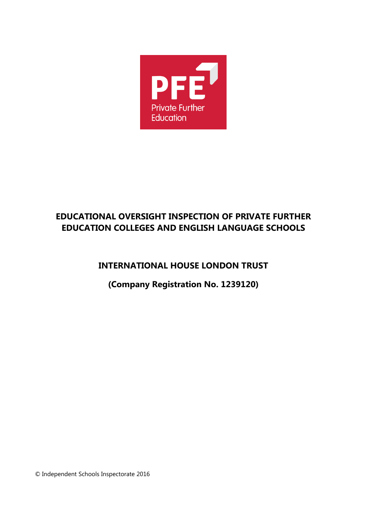

# **EDUCATIONAL OVERSIGHT INSPECTION OF PRIVATE FURTHER EDUCATION COLLEGES AND ENGLISH LANGUAGE SCHOOLS**

**INTERNATIONAL HOUSE LONDON TRUST**

**(Company Registration No. 1239120)**

© Independent Schools Inspectorate 2016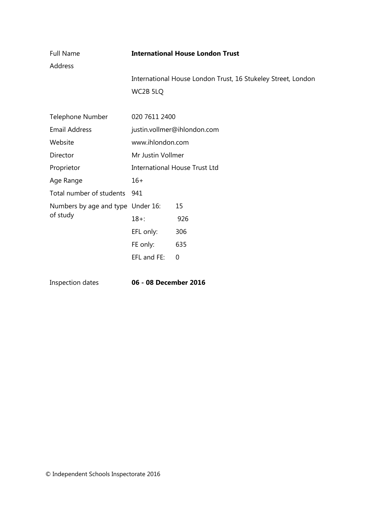| <b>Full Name</b><br>Address       | <b>International House London Trust</b> |                                                              |
|-----------------------------------|-----------------------------------------|--------------------------------------------------------------|
|                                   | WC2B 5LQ                                | International House London Trust, 16 Stukeley Street, London |
| Telephone Number                  | 020 7611 2400                           |                                                              |
| <b>Email Address</b>              | justin.vollmer@ihlondon.com             |                                                              |
| Website                           | www.ihlondon.com                        |                                                              |
| Director                          | Mr Justin Vollmer                       |                                                              |
| Proprietor                        | <b>International House Trust Ltd</b>    |                                                              |
| Age Range                         | $16+$                                   |                                                              |
| Total number of students          | 941                                     |                                                              |
| Numbers by age and type Under 16: |                                         | 15                                                           |
| of study                          | $18 +$ :                                | 926                                                          |
|                                   | EFL only:                               | 306                                                          |
|                                   | FE only:                                | 635                                                          |
|                                   | EFL and FE:                             | 0                                                            |

Inspection dates **06 - 08 December 2016**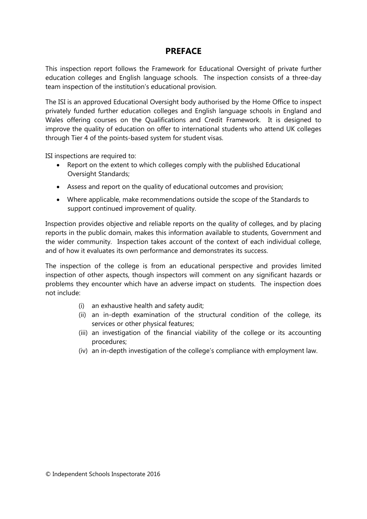### **PREFACE**

This inspection report follows the Framework for Educational Oversight of private further education colleges and English language schools. The inspection consists of a three-day team inspection of the institution's educational provision.

The ISI is an approved Educational Oversight body authorised by the Home Office to inspect privately funded further education colleges and English language schools in England and Wales offering courses on the Qualifications and Credit Framework. It is designed to improve the quality of education on offer to international students who attend UK colleges through Tier 4 of the points-based system for student visas.

ISI inspections are required to:

- Report on the extent to which colleges comply with the published Educational Oversight Standards;
- Assess and report on the quality of educational outcomes and provision;
- Where applicable, make recommendations outside the scope of the Standards to support continued improvement of quality.

Inspection provides objective and reliable reports on the quality of colleges, and by placing reports in the public domain, makes this information available to students, Government and the wider community. Inspection takes account of the context of each individual college, and of how it evaluates its own performance and demonstrates its success.

The inspection of the college is from an educational perspective and provides limited inspection of other aspects, though inspectors will comment on any significant hazards or problems they encounter which have an adverse impact on students. The inspection does not include:

- (i) an exhaustive health and safety audit;
- (ii) an in-depth examination of the structural condition of the college, its services or other physical features;
- (iii) an investigation of the financial viability of the college or its accounting procedures;
- (iv) an in-depth investigation of the college's compliance with employment law.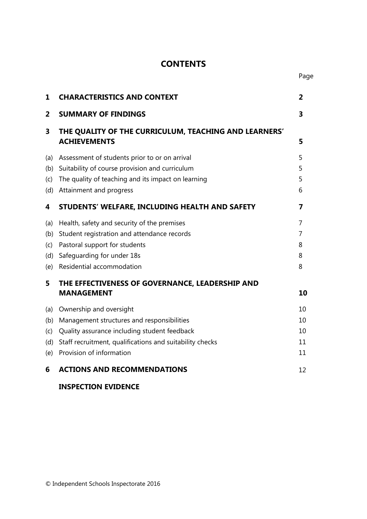## **CONTENTS**

Page

| 1                               | <b>CHARACTERISTICS AND CONTEXT</b>                                                                                                                                                                            | 2                          |
|---------------------------------|---------------------------------------------------------------------------------------------------------------------------------------------------------------------------------------------------------------|----------------------------|
| $\overline{\mathbf{2}}$         | <b>SUMMARY OF FINDINGS</b>                                                                                                                                                                                    | 3                          |
| 3                               | THE QUALITY OF THE CURRICULUM, TEACHING AND LEARNERS'<br><b>ACHIEVEMENTS</b>                                                                                                                                  | 5                          |
| (a)<br>(b)<br>(c)               | Assessment of students prior to or on arrival<br>Suitability of course provision and curriculum<br>The quality of teaching and its impact on learning<br>(d) Attainment and progress                          | 5<br>5<br>5<br>6           |
| 4                               | STUDENTS' WELFARE, INCLUDING HEALTH AND SAFETY                                                                                                                                                                | 7                          |
| (a)<br>(b)<br>(c)<br>(d)<br>(e) | Health, safety and security of the premises<br>Student registration and attendance records<br>Pastoral support for students<br>Safeguarding for under 18s<br>Residential accommodation                        | 7<br>7<br>8<br>8<br>8      |
| 5                               | THE EFFECTIVENESS OF GOVERNANCE, LEADERSHIP AND<br><b>MANAGEMENT</b>                                                                                                                                          | 10                         |
| (a)<br>(b)<br>(c)<br>(d)<br>(e) | Ownership and oversight<br>Management structures and responsibilities<br>Quality assurance including student feedback<br>Staff recruitment, qualifications and suitability checks<br>Provision of information | 10<br>10<br>10<br>11<br>11 |
| 6                               | <b>ACTIONS AND RECOMMENDATIONS</b>                                                                                                                                                                            | 12                         |

## **INSPECTION EVIDENCE**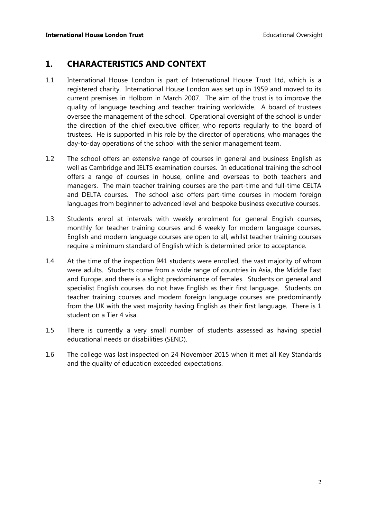## **1. CHARACTERISTICS AND CONTEXT**

- 1.1 International House London is part of International House Trust Ltd, which is a registered charity. International House London was set up in 1959 and moved to its current premises in Holborn in March 2007. The aim of the trust is to improve the quality of language teaching and teacher training worldwide. A board of trustees oversee the management of the school. Operational oversight of the school is under the direction of the chief executive officer, who reports regularly to the board of trustees. He is supported in his role by the director of operations, who manages the day-to-day operations of the school with the senior management team.
- 1.2 The school offers an extensive range of courses in general and business English as well as Cambridge and IELTS examination courses. In educational training the school offers a range of courses in house, online and overseas to both teachers and managers. The main teacher training courses are the part-time and full-time CELTA and DELTA courses. The school also offers part-time courses in modern foreign languages from beginner to advanced level and bespoke business executive courses.
- 1.3 Students enrol at intervals with weekly enrolment for general English courses, monthly for teacher training courses and 6 weekly for modern language courses. English and modern language courses are open to all, whilst teacher training courses require a minimum standard of English which is determined prior to acceptance.
- 1.4 At the time of the inspection 941 students were enrolled, the vast majority of whom were adults. Students come from a wide range of countries in Asia, the Middle East and Europe, and there is a slight predominance of females. Students on general and specialist English courses do not have English as their first language. Students on teacher training courses and modern foreign language courses are predominantly from the UK with the vast majority having English as their first language. There is 1 student on a Tier 4 visa.
- 1.5 There is currently a very small number of students assessed as having special educational needs or disabilities (SEND).
- 1.6 The college was last inspected on 24 November 2015 when it met all Key Standards and the quality of education exceeded expectations.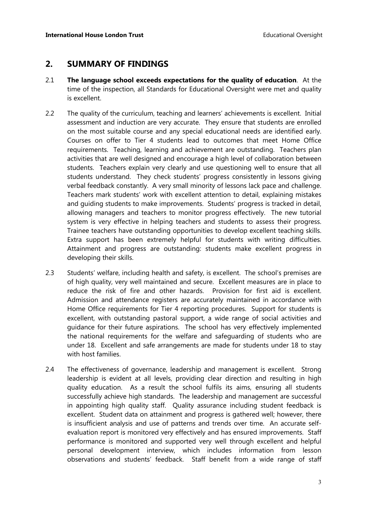#### **2. SUMMARY OF FINDINGS**

- 2.1 **The language school exceeds expectations for the quality of education**. At the time of the inspection, all Standards for Educational Oversight were met and quality is excellent.
- 2.2 The quality of the curriculum, teaching and learners' achievements is excellent. Initial assessment and induction are very accurate. They ensure that students are enrolled on the most suitable course and any special educational needs are identified early. Courses on offer to Tier 4 students lead to outcomes that meet Home Office requirements. Teaching, learning and achievement are outstanding. Teachers plan activities that are well designed and encourage a high level of collaboration between students. Teachers explain very clearly and use questioning well to ensure that all students understand. They check students' progress consistently in lessons giving verbal feedback constantly. A very small minority of lessons lack pace and challenge. Teachers mark students' work with excellent attention to detail, explaining mistakes and guiding students to make improvements. Students' progress is tracked in detail, allowing managers and teachers to monitor progress effectively. The new tutorial system is very effective in helping teachers and students to assess their progress. Trainee teachers have outstanding opportunities to develop excellent teaching skills. Extra support has been extremely helpful for students with writing difficulties. Attainment and progress are outstanding: students make excellent progress in developing their skills.
- 2.3 Students' welfare, including health and safety, is excellent. The school's premises are of high quality, very well maintained and secure. Excellent measures are in place to reduce the risk of fire and other hazards. Provision for first aid is excellent. Admission and attendance registers are accurately maintained in accordance with Home Office requirements for Tier 4 reporting procedures. Support for students is excellent, with outstanding pastoral support, a wide range of social activities and guidance for their future aspirations. The school has very effectively implemented the national requirements for the welfare and safeguarding of students who are under 18. Excellent and safe arrangements are made for students under 18 to stay with host families.
- 2.4 The effectiveness of governance, leadership and management is excellent. Strong leadership is evident at all levels, providing clear direction and resulting in high quality education. As a result the school fulfils its aims, ensuring all students successfully achieve high standards. The leadership and management are successful in appointing high quality staff. Quality assurance including student feedback is excellent. Student data on attainment and progress is gathered well; however, there is insufficient analysis and use of patterns and trends over time. An accurate selfevaluation report is monitored very effectively and has ensured improvements. Staff performance is monitored and supported very well through excellent and helpful personal development interview, which includes information from lesson observations and students' feedback. Staff benefit from a wide range of staff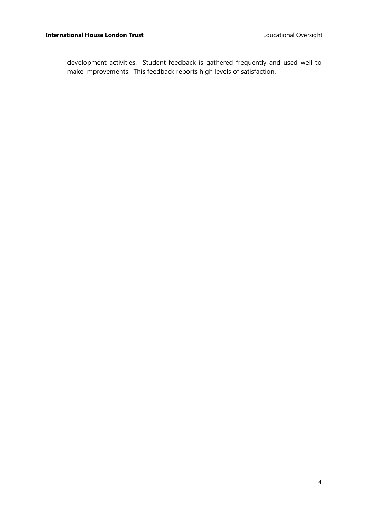development activities. Student feedback is gathered frequently and used well to make improvements. This feedback reports high levels of satisfaction.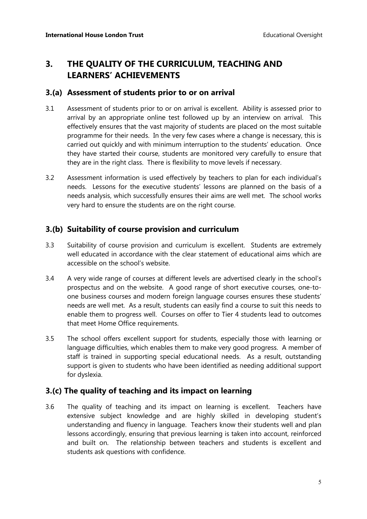## **3. THE QUALITY OF THE CURRICULUM, TEACHING AND LEARNERS' ACHIEVEMENTS**

#### **3.(a) Assessment of students prior to or on arrival**

- 3.1 Assessment of students prior to or on arrival is excellent. Ability is assessed prior to arrival by an appropriate online test followed up by an interview on arrival. This effectively ensures that the vast majority of students are placed on the most suitable programme for their needs. In the very few cases where a change is necessary, this is carried out quickly and with minimum interruption to the students' education. Once they have started their course, students are monitored very carefully to ensure that they are in the right class. There is flexibility to move levels if necessary.
- 3.2 Assessment information is used effectively by teachers to plan for each individual's needs. Lessons for the executive students' lessons are planned on the basis of a needs analysis, which successfully ensures their aims are well met. The school works very hard to ensure the students are on the right course.

#### **3.(b) Suitability of course provision and curriculum**

- 3.3 Suitability of course provision and curriculum is excellent.Students are extremely well educated in accordance with the clear statement of educational aims which are accessible on the school's website.
- 3.4 A very wide range of courses at different levels are advertised clearly in the school's prospectus and on the website. A good range of short executive courses, one-toone business courses and modern foreign language courses ensures these students' needs are well met. As a result, students can easily find a course to suit this needs to enable them to progress well. Courses on offer to Tier 4 students lead to outcomes that meet Home Office requirements.
- 3.5 The school offers excellent support for students, especially those with learning or language difficulties, which enables them to make very good progress. A member of staff is trained in supporting special educational needs. As a result, outstanding support is given to students who have been identified as needing additional support for dyslexia.

#### **3.(c) The quality of teaching and its impact on learning**

3.6 The quality of teaching and its impact on learning is excellent. Teachers have extensive subject knowledge and are highly skilled in developing student's understanding and fluency in language. Teachers know their students well and plan lessons accordingly, ensuring that previous learning is taken into account, reinforced and built on. The relationship between teachers and students is excellent and students ask questions with confidence.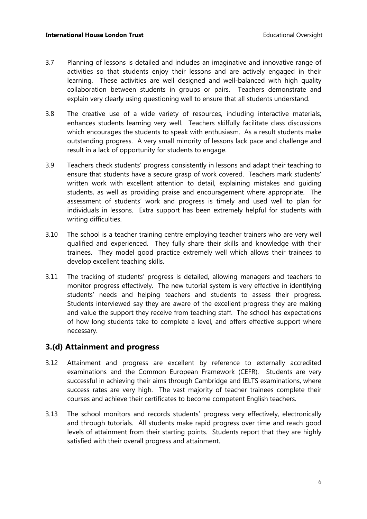- 3.7 Planning of lessons is detailed and includes an imaginative and innovative range of activities so that students enjoy their lessons and are actively engaged in their learning.These activities are well designed and well-balanced with high quality collaboration between students in groups or pairs. Teachers demonstrate and explain very clearly using questioning well to ensure that all students understand.
- 3.8 The creative use of a wide variety of resources, including interactive materials, enhances students learning very well.Teachers skilfully facilitate class discussions which encourages the students to speak with enthusiasm.As a result students make outstanding progress. A very small minority of lessons lack pace and challenge and result in a lack of opportunity for students to engage.
- 3.9 Teachers check students' progress consistently in lessons and adapt their teaching to ensure that students have a secure grasp of work covered. Teachers mark students' written work with excellent attention to detail, explaining mistakes and guiding students, as well as providing praise and encouragement where appropriate. The assessment of students' work and progress is timely and used well to plan for individuals in lessons. Extra support has been extremely helpful for students with writing difficulties.
- 3.10 The school is a teacher training centre employing teacher trainers who are very well qualified and experienced. They fully share their skills and knowledge with their trainees. They model good practice extremely well which allows their trainees to develop excellent teaching skills.
- 3.11 The tracking of students' progress is detailed, allowing managers and teachers to monitor progress effectively. The new tutorial system is very effective in identifying students' needs and helping teachers and students to assess their progress. Students interviewed say they are aware of the excellent progress they are making and value the support they receive from teaching staff. The school has expectations of how long students take to complete a level, and offers effective support where necessary.

#### **3.(d) Attainment and progress**

- 3.12 Attainment and progress are excellent by reference to externally accredited examinations and the Common European Framework (CEFR). Students are very successful in achieving their aims through Cambridge and IELTS examinations, where success rates are very high. The vast majority of teacher trainees complete their courses and achieve their certificates to become competent English teachers.
- 3.13 The school monitors and records students' progress very effectively, electronically and through tutorials. All students make rapid progress over time and reach good levels of attainment from their starting points. Students report that they are highly satisfied with their overall progress and attainment.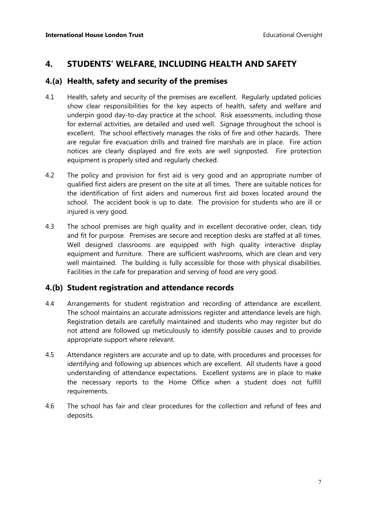## **4. STUDENTS' WELFARE, INCLUDING HEALTH AND SAFETY**

#### **4.(a) Health, safety and security of the premises**

- 4.1 Health, safety and security of the premises are excellent. Regularly updated policies show clear responsibilities for the key aspects of health, safety and welfare and underpin good day-to-day practice at the school. Risk assessments, including those for external activities, are detailed and used well. Signage throughout the school is excellent. The school effectively manages the risks of fire and other hazards. There are regular fire evacuation drills and trained fire marshals are in place. Fire action notices are clearly displayed and fire exits are well signposted. Fire protection equipment is properly sited and regularly checked.
- 4.2 The policy and provision for first aid is very good and an appropriate number of qualified first aiders are present on the site at all times. There are suitable notices for the identification of first aiders and numerous first aid boxes located around the school. The accident book is up to date. The provision for students who are ill or injured is very good.
- 4.3 The school premises are high quality and in excellent decorative order, clean, tidy and fit for purpose. Premises are secure and reception desks are staffed at all times. Well designed classrooms are equipped with high quality interactive display equipment and furniture. There are sufficient washrooms, which are clean and very well maintained. The building is fully accessible for those with physical disabilities. Facilities in the cafe for preparation and serving of food are very good.

#### **4.(b) Student registration and attendance records**

- 4.4 Arrangements for student registration and recording of attendance are excellent. The school maintains an accurate admissions register and attendance levels are high. Registration details are carefully maintained and students who may register but do not attend are followed up meticulously to identify possible causes and to provide appropriate support where relevant.
- 4.5 Attendance registers are accurate and up to date, with procedures and processes for identifying and following up absences which are excellent. All students have a good understanding of attendance expectations. Excellent systems are in place to make the necessary reports to the Home Office when a student does not fulfill requirements.
- 4.6 The school has fair and clear procedures for the collection and refund of fees and deposits.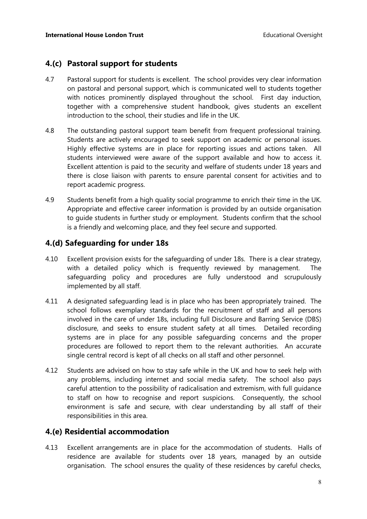#### **4.(c) Pastoral support for students**

- 4.7 Pastoral support for students is excellent. The school provides very clear information on pastoral and personal support, which is communicated well to students together with notices prominently displayed throughout the school. First day induction, together with a comprehensive student handbook, gives students an excellent introduction to the school, their studies and life in the UK.
- 4.8 The outstanding pastoral support team benefit from frequent professional training. Students are actively encouraged to seek support on academic or personal issues. Highly effective systems are in place for reporting issues and actions taken. All students interviewed were aware of the support available and how to access it. Excellent attention is paid to the security and welfare of students under 18 years and there is close liaison with parents to ensure parental consent for activities and to report academic progress.
- 4.9 Students benefit from a high quality social programme to enrich their time in the UK. Appropriate and effective career information is provided by an outside organisation to guide students in further study or employment. Students confirm that the school is a friendly and welcoming place, and they feel secure and supported.

#### **4.(d) Safeguarding for under 18s**

- 4.10 Excellent provision exists for the safeguarding of under 18s. There is a clear strategy, with a detailed policy which is frequently reviewed by management. The safeguarding policy and procedures are fully understood and scrupulously implemented by all staff.
- 4.11 A designated safeguarding lead is in place who has been appropriately trained. The school follows exemplary standards for the recruitment of staff and all persons involved in the care of under 18s, including full Disclosure and Barring Service (DBS) disclosure, and seeks to ensure student safety at all times. Detailed recording systems are in place for any possible safeguarding concerns and the proper procedures are followed to report them to the relevant authorities. An accurate single central record is kept of all checks on all staff and other personnel.
- 4.12 Students are advised on how to stay safe while in the UK and how to seek help with any problems, including internet and social media safety. The school also pays careful attention to the possibility of radicalisation and extremism, with full guidance to staff on how to recognise and report suspicions. Consequently, the school environment is safe and secure, with clear understanding by all staff of their responsibilities in this area.

#### **4.(e) Residential accommodation**

4.13 Excellent arrangements are in place for the accommodation of students. Halls of residence are available for students over 18 years, managed by an outside organisation. The school ensures the quality of these residences by careful checks,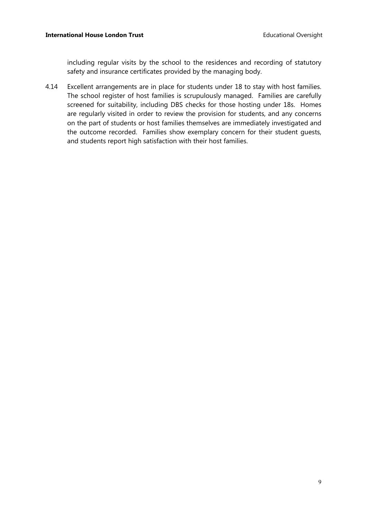including regular visits by the school to the residences and recording of statutory safety and insurance certificates provided by the managing body.

4.14 Excellent arrangements are in place for students under 18 to stay with host families. The school register of host families is scrupulously managed. Families are carefully screened for suitability, including DBS checks for those hosting under 18s. Homes are regularly visited in order to review the provision for students, and any concerns on the part of students or host families themselves are immediately investigated and the outcome recorded. Families show exemplary concern for their student guests, and students report high satisfaction with their host families.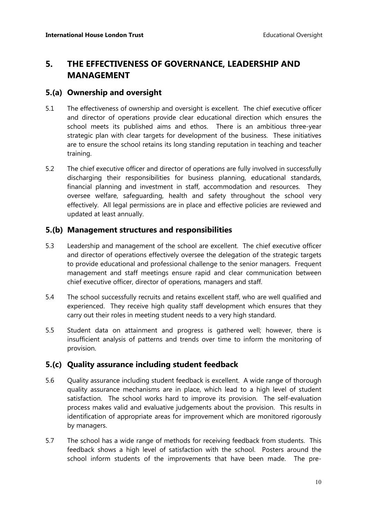## **5. THE EFFECTIVENESS OF GOVERNANCE, LEADERSHIP AND MANAGEMENT**

#### **5.(a) Ownership and oversight**

- 5.1 The effectiveness of ownership and oversight is excellent. The chief executive officer and director of operations provide clear educational direction which ensures the school meets its published aims and ethos.There is an ambitious three-year strategic plan with clear targets for development of the business. These initiatives are to ensure the school retains its long standing reputation in teaching and teacher training.
- 5.2 The chief executive officer and director of operations are fully involved in successfully discharging their responsibilities for business planning, educational standards, financial planning and investment in staff, accommodation and resources. They oversee welfare, safeguarding, health and safety throughout the school very effectively. All legal permissions are in place and effective policies are reviewed and updated at least annually.

#### **5.(b) Management structures and responsibilities**

- 5.3 Leadership and management of the school are excellent.The chief executive officer and director of operations effectively oversee the delegation of the strategic targets to provide educational and professional challenge to the senior managers. Frequent management and staff meetings ensure rapid and clear communication between chief executive officer, director of operations*,* managers and staff.
- 5.4 The school successfully recruits and retains excellent staff, who are well qualified and experienced. They receive high quality staff development which ensures that they carry out their roles in meeting student needs to a very high standard.
- 5.5 Student data on attainment and progress is gathered well; however, there is insufficient analysis of patterns and trends over time to inform the monitoring of provision.

### **5.(c) Quality assurance including student feedback**

- 5.6 Quality assurance including student feedback is excellent. A wide range of thorough quality assurance mechanisms are in place, which lead to a high level of student satisfaction. The school works hard to improve its provision. The self-evaluation process makes valid and evaluative judgements about the provision. This results in identification of appropriate areas for improvement which are monitored rigorously by managers.
- 5.7 The school has a wide range of methods for receiving feedback from students. This feedback shows a high level of satisfaction with the school. Posters around the school inform students of the improvements that have been made. The pre-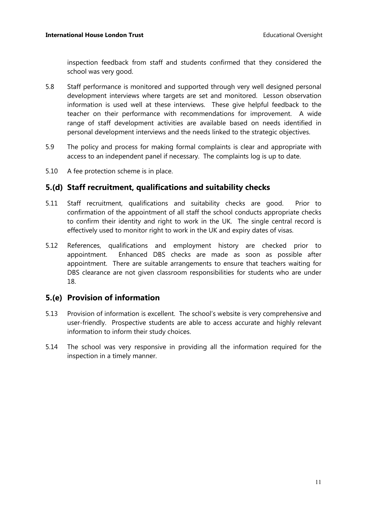inspection feedback from staff and students confirmed that they considered the school was very good.

- 5.8 Staff performance is monitored and supported through very well designed personal development interviews where targets are set and monitored. Lesson observation information is used well at these interviews. These give helpful feedback to the teacher on their performance with recommendations for improvement. A wide range of staff development activities are available based on needs identified in personal development interviews and the needs linked to the strategic objectives.
- 5.9 The policy and process for making formal complaints is clear and appropriate with access to an independent panel if necessary. The complaints log is up to date.
- 5.10 A fee protection scheme is in place.

#### **5.(d) Staff recruitment, qualifications and suitability checks**

- 5.11 Staff recruitment, qualifications and suitability checks are good. Prior to confirmation of the appointment of all staff the school conducts appropriate checks to confirm their identity and right to work in the UK. The single central record is effectively used to monitor right to work in the UK and expiry dates of visas.
- 5.12 References, qualifications and employment history are checked prior to appointment. Enhanced DBS checks are made as soon as possible after appointment. There are suitable arrangements to ensure that teachers waiting for DBS clearance are not given classroom responsibilities for students who are under 18.

#### **5.(e) Provision of information**

- 5.13 Provision of information is excellent. The school's website is very comprehensive and user-friendly. Prospective students are able to access accurate and highly relevant information to inform their study choices.
- 5.14 The school was very responsive in providing all the information required for the inspection in a timely manner.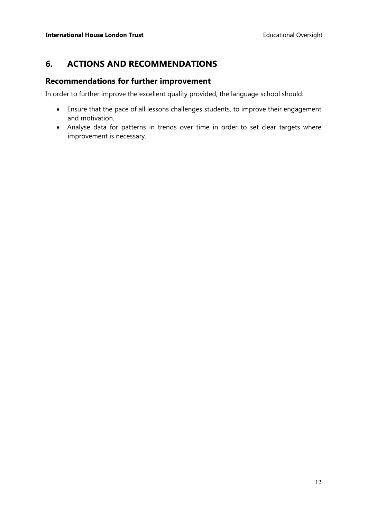## **6. ACTIONS AND RECOMMENDATIONS**

#### **Recommendations for further improvement**

In order to further improve the excellent quality provided, the language school should:

- Ensure that the pace of all lessons challenges students, to improve their engagement and motivation.
- Analyse data for patterns in trends over time in order to set clear targets where improvement is necessary.